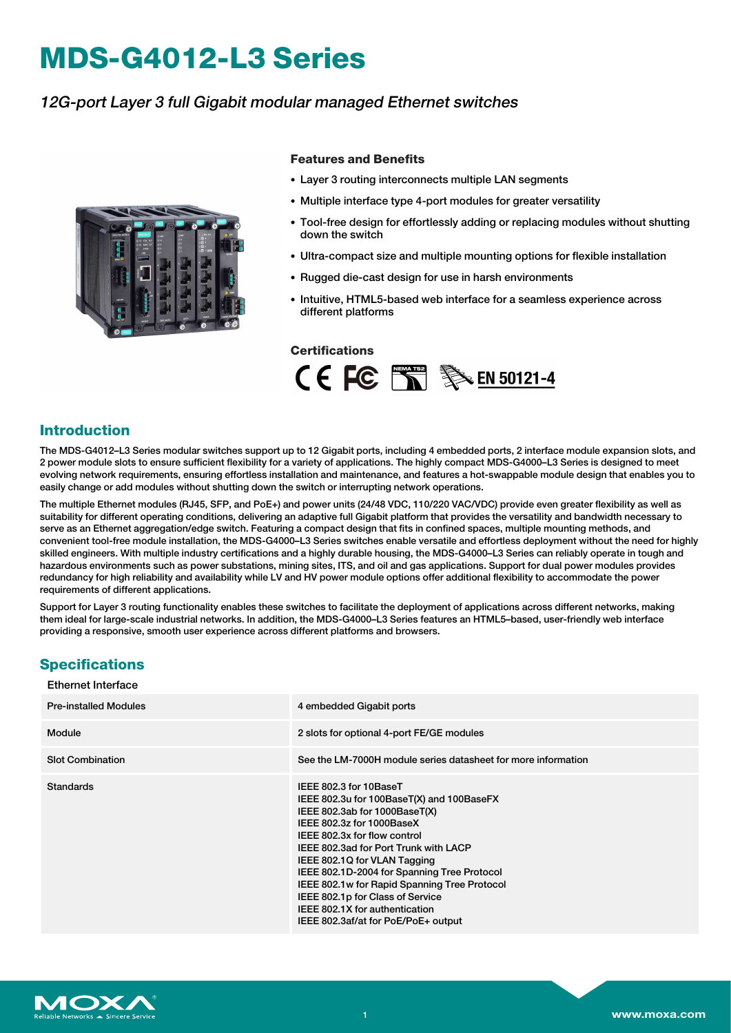# **MDS-G4012-L3 Series**

## 12G-port Layer 3 full Gigabit modular managed Ethernet switches



#### **Features and Benefits**

- Layer 3 routing interconnects multiple LAN segments
- Multiple interface type 4-port modules for greater versatility
- Tool-free design for effortlessly adding or replacing modules without shutting down the switch
- Ultra-compact size and multiple mounting options for flexible installation
- Rugged die-cast design for use in harsh environments
- Intuitive, HTML5-based web interface for a seamless experience across different platforms

#### **Certifications**



### **Introduction**

The MDS-G4012–L3 Series modular switches support up to 12 Gigabit ports, including 4 embedded ports, 2 interface module expansion slots, and 2 power module slots to ensure sufficient flexibility for a variety of applications. The highly compact MDS-G4000–L3 Series is designed to meet evolving network requirements, ensuring effortless installation and maintenance, and features a hot-swappable module design that enables you to easily change or add modules without shutting down the switch or interrupting network operations.

The multiple Ethernet modules (RJ45, SFP, and PoE+) and power units (24/48 VDC, 110/220 VAC/VDC) provide even greater flexibility as well as suitability for different operating conditions, delivering an adaptive full Gigabit platform that provides the versatility and bandwidth necessary to serve as an Ethernet aggregation/edge switch. Featuring a compact design that fits in confined spaces, multiple mounting methods, and convenient tool-free module installation, the MDS-G4000–L3 Series switches enable versatile and effortless deployment without the need for highly skilled engineers. With multiple industry certifications and a highly durable housing, the MDS-G4000–L3 Series can reliably operate in tough and hazardous environments such as power substations, mining sites, ITS, and oil and gas applications. Support for dual power modules provides redundancy for high reliability and availability while LV and HV power module options offer additional flexibility to accommodate the power requirements of different applications.

Support for Layer 3 routing functionality enables these switches to facilitate the deployment of applications across different networks, making them ideal for large-scale industrial networks. In addition, the MDS-G4000–L3 Series features an HTML5–based, user-friendly web interface providing a responsive, smooth user experience across different platforms and browsers.

## **Specifications**

| <b>Ethernet Interface</b>    |                                                                                                                                                                                                                                                                                                                                                                                                                                                        |
|------------------------------|--------------------------------------------------------------------------------------------------------------------------------------------------------------------------------------------------------------------------------------------------------------------------------------------------------------------------------------------------------------------------------------------------------------------------------------------------------|
| <b>Pre-installed Modules</b> | 4 embedded Gigabit ports                                                                                                                                                                                                                                                                                                                                                                                                                               |
| Module                       | 2 slots for optional 4-port FE/GE modules                                                                                                                                                                                                                                                                                                                                                                                                              |
| <b>Slot Combination</b>      | See the LM-7000H module series datasheet for more information                                                                                                                                                                                                                                                                                                                                                                                          |
| <b>Standards</b>             | IEEE 802.3 for 10BaseT<br>IEEE 802.3u for 100BaseT(X) and 100BaseFX<br>IEEE 802.3ab for 1000BaseT(X)<br>IEEE 802.3z for 1000BaseX<br>IEEE 802.3x for flow control<br>IEEE 802.3ad for Port Trunk with LACP<br>IEEE 802.1Q for VLAN Tagging<br>IEEE 802.1D-2004 for Spanning Tree Protocol<br>IEEE 802.1w for Rapid Spanning Tree Protocol<br>IEEE 802.1p for Class of Service<br>IEEE 802.1X for authentication<br>IEEE 802.3af/at for PoE/PoE+ output |

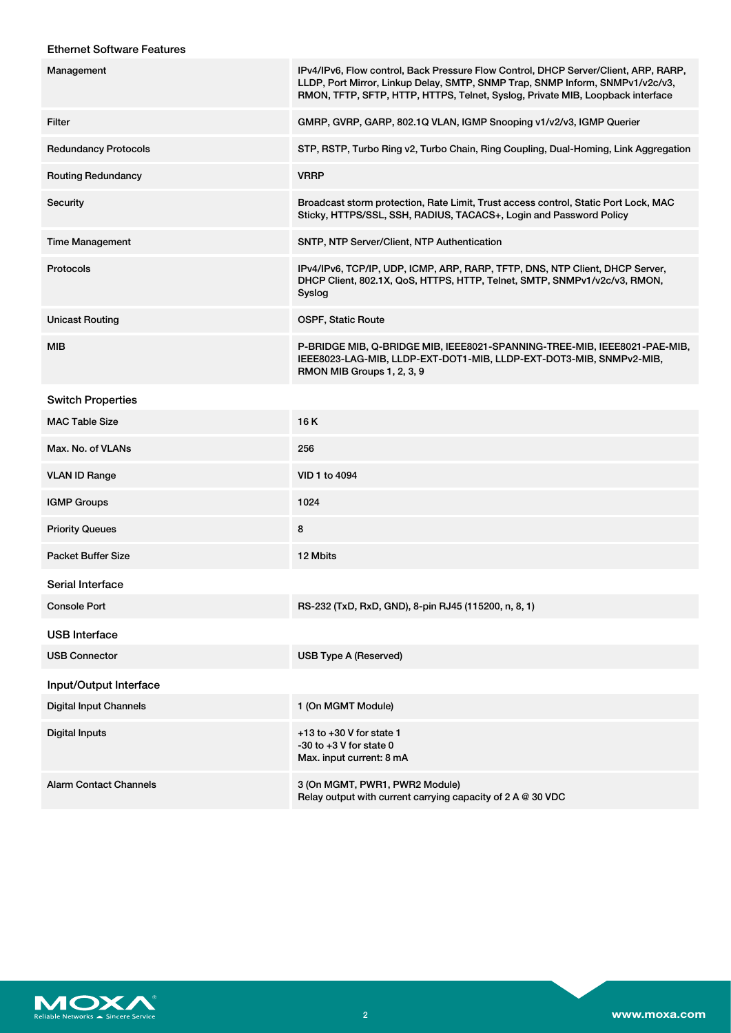#### Ethernet Software Features

| Management                    | IPv4/IPv6, Flow control, Back Pressure Flow Control, DHCP Server/Client, ARP, RARP,<br>LLDP, Port Mirror, Linkup Delay, SMTP, SNMP Trap, SNMP Inform, SNMPv1/v2c/v3,<br>RMON, TFTP, SFTP, HTTP, HTTPS, Telnet, Syslog, Private MIB, Loopback interface |
|-------------------------------|--------------------------------------------------------------------------------------------------------------------------------------------------------------------------------------------------------------------------------------------------------|
| Filter                        | GMRP, GVRP, GARP, 802.1Q VLAN, IGMP Snooping v1/v2/v3, IGMP Querier                                                                                                                                                                                    |
| <b>Redundancy Protocols</b>   | STP, RSTP, Turbo Ring v2, Turbo Chain, Ring Coupling, Dual-Homing, Link Aggregation                                                                                                                                                                    |
| <b>Routing Redundancy</b>     | <b>VRRP</b>                                                                                                                                                                                                                                            |
| Security                      | Broadcast storm protection, Rate Limit, Trust access control, Static Port Lock, MAC<br>Sticky, HTTPS/SSL, SSH, RADIUS, TACACS+, Login and Password Policy                                                                                              |
| <b>Time Management</b>        | SNTP, NTP Server/Client, NTP Authentication                                                                                                                                                                                                            |
| <b>Protocols</b>              | IPv4/IPv6, TCP/IP, UDP, ICMP, ARP, RARP, TFTP, DNS, NTP Client, DHCP Server,<br>DHCP Client, 802.1X, QoS, HTTPS, HTTP, Telnet, SMTP, SNMPv1/v2c/v3, RMON,<br>Syslog                                                                                    |
| <b>Unicast Routing</b>        | <b>OSPF, Static Route</b>                                                                                                                                                                                                                              |
| MIB                           | P-BRIDGE MIB, Q-BRIDGE MIB, IEEE8021-SPANNING-TREE-MIB, IEEE8021-PAE-MIB,<br>IEEE8023-LAG-MIB, LLDP-EXT-DOT1-MIB, LLDP-EXT-DOT3-MIB, SNMPv2-MIB,<br>RMON MIB Groups 1, 2, 3, 9                                                                         |
| <b>Switch Properties</b>      |                                                                                                                                                                                                                                                        |
| <b>MAC Table Size</b>         | 16 K                                                                                                                                                                                                                                                   |
| Max. No. of VLANs             | 256                                                                                                                                                                                                                                                    |
| <b>VLAN ID Range</b>          | VID 1 to 4094                                                                                                                                                                                                                                          |
| <b>IGMP Groups</b>            | 1024                                                                                                                                                                                                                                                   |
| <b>Priority Queues</b>        | 8                                                                                                                                                                                                                                                      |
| <b>Packet Buffer Size</b>     | 12 Mbits                                                                                                                                                                                                                                               |
| Serial Interface              |                                                                                                                                                                                                                                                        |
| Console Port                  | RS-232 (TxD, RxD, GND), 8-pin RJ45 (115200, n, 8, 1)                                                                                                                                                                                                   |
| <b>USB</b> Interface          |                                                                                                                                                                                                                                                        |
| <b>USB Connector</b>          | <b>USB Type A (Reserved)</b>                                                                                                                                                                                                                           |
| Input/Output Interface        |                                                                                                                                                                                                                                                        |
| <b>Digital Input Channels</b> | 1 (On MGMT Module)                                                                                                                                                                                                                                     |
| <b>Digital Inputs</b>         | $+13$ to $+30$ V for state 1<br>$-30$ to $+3$ V for state 0<br>Max. input current: 8 mA                                                                                                                                                                |
| <b>Alarm Contact Channels</b> | 3 (On MGMT, PWR1, PWR2 Module)<br>Relay output with current carrying capacity of 2 A @ 30 VDC                                                                                                                                                          |

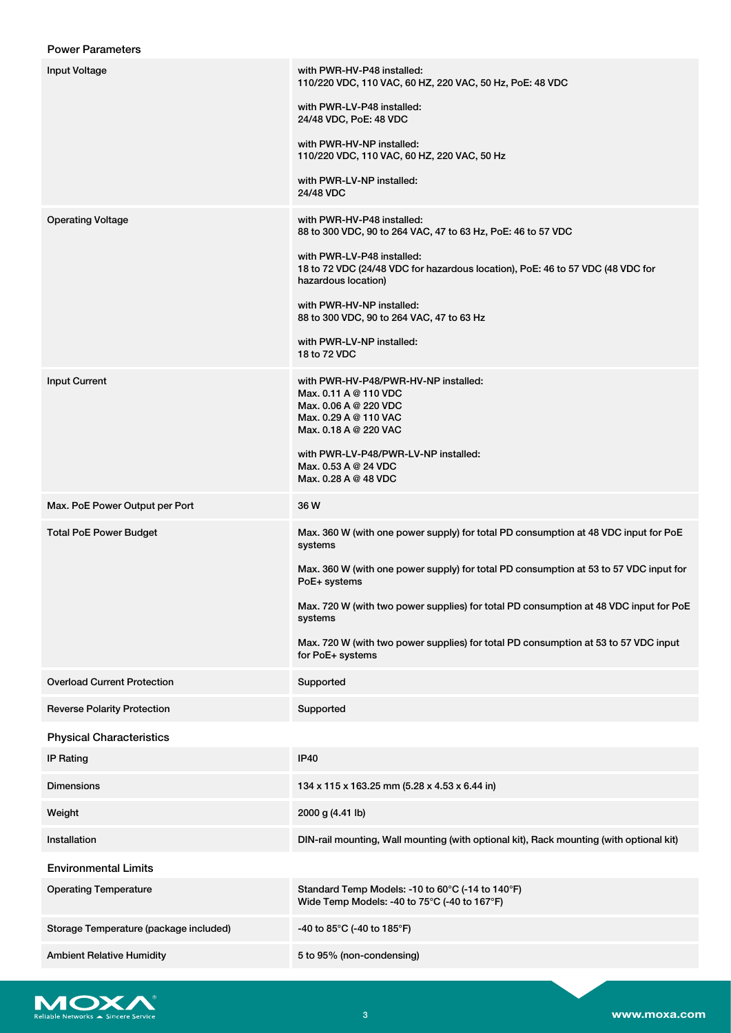|  | <b>Power Parameters</b> |
|--|-------------------------|
|--|-------------------------|

| <b>Input Voltage</b>                   | with PWR-HV-P48 installed:<br>110/220 VDC, 110 VAC, 60 HZ, 220 VAC, 50 Hz, PoE: 48 VDC                                                   |
|----------------------------------------|------------------------------------------------------------------------------------------------------------------------------------------|
|                                        | with PWR-LV-P48 installed:<br>24/48 VDC, PoE: 48 VDC                                                                                     |
|                                        | with PWR-HV-NP installed:<br>110/220 VDC, 110 VAC, 60 HZ, 220 VAC, 50 Hz                                                                 |
|                                        | with PWR-LV-NP installed:<br>24/48 VDC                                                                                                   |
| <b>Operating Voltage</b>               | with PWR-HV-P48 installed:<br>88 to 300 VDC, 90 to 264 VAC, 47 to 63 Hz, PoE: 46 to 57 VDC                                               |
|                                        | with PWR-LV-P48 installed:<br>18 to 72 VDC (24/48 VDC for hazardous location), PoE: 46 to 57 VDC (48 VDC for<br>hazardous location)      |
|                                        | with PWR-HV-NP installed:<br>88 to 300 VDC, 90 to 264 VAC, 47 to 63 Hz                                                                   |
|                                        | with PWR-LV-NP installed:<br>18 to 72 VDC                                                                                                |
| <b>Input Current</b>                   | with PWR-HV-P48/PWR-HV-NP installed:<br>Max. 0.11 A @ 110 VDC<br>Max. 0.06 A @ 220 VDC<br>Max, 0.29 A @ 110 VAC<br>Max. 0.18 A @ 220 VAC |
|                                        | with PWR-LV-P48/PWR-LV-NP installed:<br>Max. 0.53 A @ 24 VDC<br>Max, 0.28 A @ 48 VDC                                                     |
| Max. PoE Power Output per Port         | 36 W                                                                                                                                     |
| <b>Total PoE Power Budget</b>          | Max. 360 W (with one power supply) for total PD consumption at 48 VDC input for PoE<br>systems                                           |
|                                        | Max. 360 W (with one power supply) for total PD consumption at 53 to 57 VDC input for<br>PoE+ systems                                    |
|                                        | Max. 720 W (with two power supplies) for total PD consumption at 48 VDC input for PoE<br>systems                                         |
|                                        | Max. 720 W (with two power supplies) for total PD consumption at 53 to 57 VDC input<br>for PoE+ systems                                  |
| <b>Overload Current Protection</b>     | Supported                                                                                                                                |
| <b>Reverse Polarity Protection</b>     | Supported                                                                                                                                |
| <b>Physical Characteristics</b>        |                                                                                                                                          |
| <b>IP Rating</b>                       | <b>IP40</b>                                                                                                                              |
| <b>Dimensions</b>                      | 134 x 115 x 163.25 mm (5.28 x 4.53 x 6.44 in)                                                                                            |
| Weight                                 | 2000 g (4.41 lb)                                                                                                                         |
| Installation                           | DIN-rail mounting, Wall mounting (with optional kit), Rack mounting (with optional kit)                                                  |
| <b>Environmental Limits</b>            |                                                                                                                                          |
| <b>Operating Temperature</b>           | Standard Temp Models: -10 to 60°C (-14 to 140°F)<br>Wide Temp Models: -40 to 75°C (-40 to 167°F)                                         |
| Storage Temperature (package included) | -40 to 85°C (-40 to 185°F)                                                                                                               |
| <b>Ambient Relative Humidity</b>       | 5 to 95% (non-condensing)                                                                                                                |

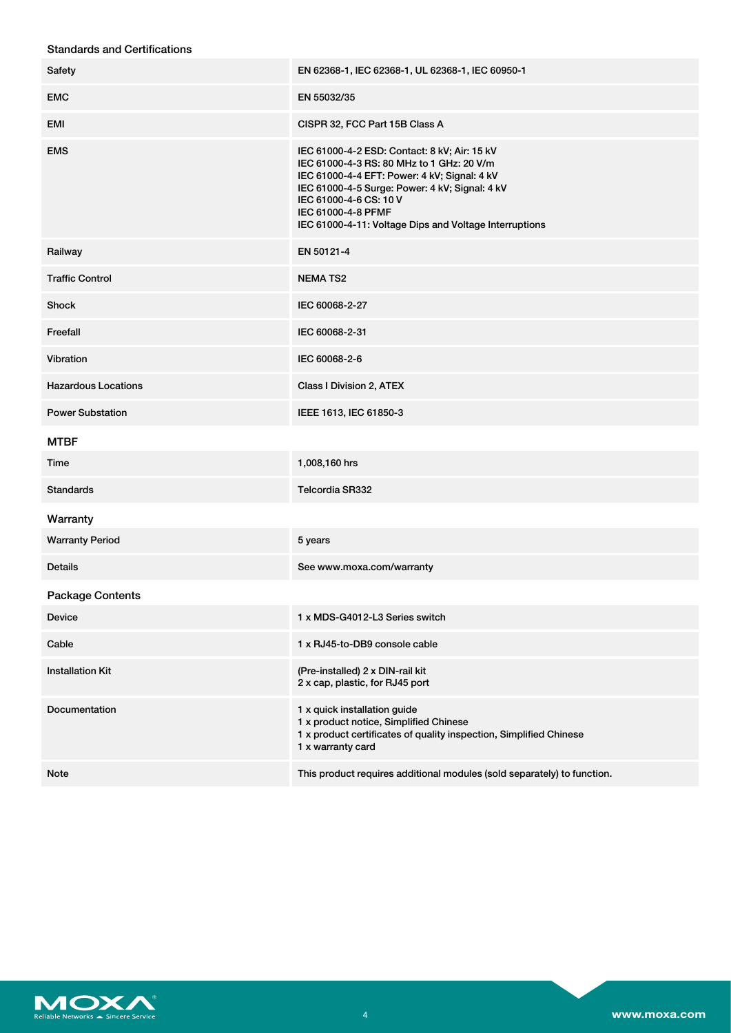| <b>Standards and Certifications</b> |  |
|-------------------------------------|--|
|-------------------------------------|--|

| Safety                     | EN 62368-1, IEC 62368-1, UL 62368-1, IEC 60950-1                                                                                                                                                                                                                                                      |
|----------------------------|-------------------------------------------------------------------------------------------------------------------------------------------------------------------------------------------------------------------------------------------------------------------------------------------------------|
| <b>EMC</b>                 | EN 55032/35                                                                                                                                                                                                                                                                                           |
| EMI                        | CISPR 32, FCC Part 15B Class A                                                                                                                                                                                                                                                                        |
| <b>EMS</b>                 | IEC 61000-4-2 ESD: Contact: 8 kV; Air: 15 kV<br>IEC 61000-4-3 RS: 80 MHz to 1 GHz: 20 V/m<br>IEC 61000-4-4 EFT: Power: 4 kV; Signal: 4 kV<br>IEC 61000-4-5 Surge: Power: 4 kV; Signal: 4 kV<br>IEC 61000-4-6 CS: 10 V<br>IEC 61000-4-8 PFMF<br>IEC 61000-4-11: Voltage Dips and Voltage Interruptions |
| Railway                    | EN 50121-4                                                                                                                                                                                                                                                                                            |
| <b>Traffic Control</b>     | <b>NEMATS2</b>                                                                                                                                                                                                                                                                                        |
| Shock                      | IEC 60068-2-27                                                                                                                                                                                                                                                                                        |
| Freefall                   | IEC 60068-2-31                                                                                                                                                                                                                                                                                        |
| Vibration                  | IEC 60068-2-6                                                                                                                                                                                                                                                                                         |
| <b>Hazardous Locations</b> | Class I Division 2, ATEX                                                                                                                                                                                                                                                                              |
| <b>Power Substation</b>    | IEEE 1613, IEC 61850-3                                                                                                                                                                                                                                                                                |
| <b>MTBF</b>                |                                                                                                                                                                                                                                                                                                       |
| Time                       | 1,008,160 hrs                                                                                                                                                                                                                                                                                         |
| <b>Standards</b>           | Telcordia SR332                                                                                                                                                                                                                                                                                       |
| Warranty                   |                                                                                                                                                                                                                                                                                                       |
| <b>Warranty Period</b>     | 5 years                                                                                                                                                                                                                                                                                               |
| <b>Details</b>             | See www.moxa.com/warranty                                                                                                                                                                                                                                                                             |
| <b>Package Contents</b>    |                                                                                                                                                                                                                                                                                                       |
| <b>Device</b>              | 1 x MDS-G4012-L3 Series switch                                                                                                                                                                                                                                                                        |
| Cable                      | 1 x RJ45-to-DB9 console cable                                                                                                                                                                                                                                                                         |
| <b>Installation Kit</b>    | (Pre-installed) 2 x DIN-rail kit<br>2 x cap, plastic, for RJ45 port                                                                                                                                                                                                                                   |
| Documentation              | 1 x quick installation guide<br>1 x product notice, Simplified Chinese<br>1 x product certificates of quality inspection, Simplified Chinese<br>1 x warranty card                                                                                                                                     |
| Note                       | This product requires additional modules (sold separately) to function.                                                                                                                                                                                                                               |

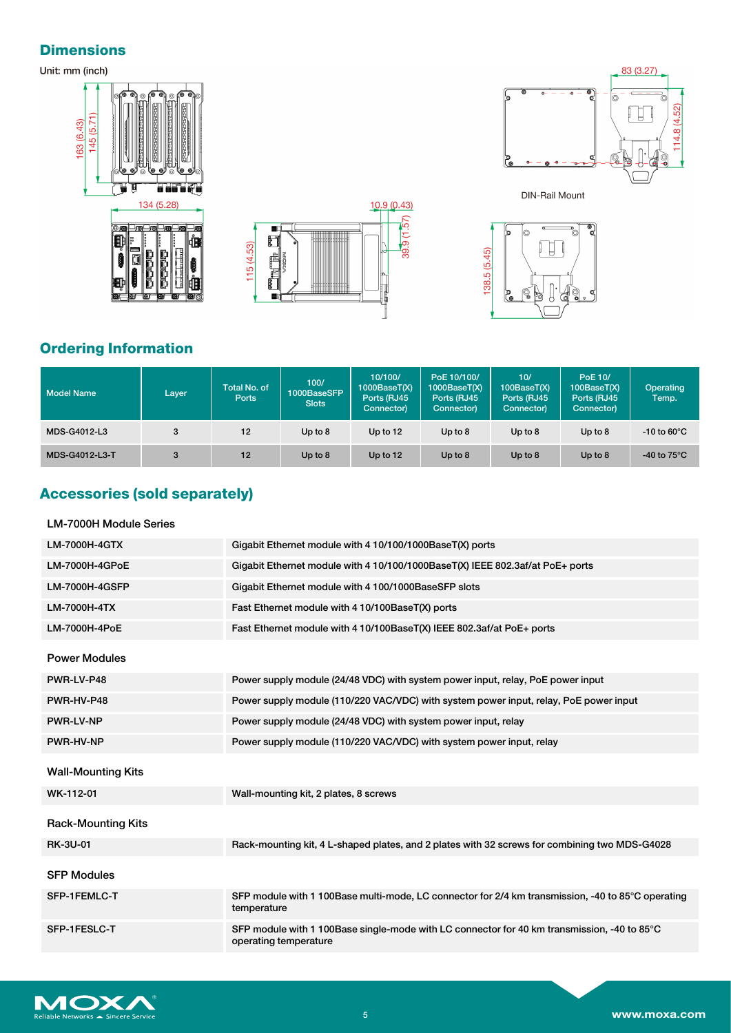## **Dimensions**







**DIN-Rail Mount** 



# **Ordering Information**

| <b>Model Name</b> | Layer | Total No. of<br>Ports | 100/<br>1000BaseSFP<br><b>Slots</b> | 10/100/<br>1000BaseT(X)<br>Ports (RJ45<br>Connector) | PoE 10/100/<br>1000BaseT(X)<br>Ports (RJ45<br>Connector) | 10/<br>100BaseT(X)<br>Ports (RJ45<br>Connector) | PoE 10/<br>100BaseT(X)<br>Ports (RJ45<br>Connector) | Operating<br>Temp.      |
|-------------------|-------|-----------------------|-------------------------------------|------------------------------------------------------|----------------------------------------------------------|-------------------------------------------------|-----------------------------------------------------|-------------------------|
| MDS-G4012-L3      | 3     | 12                    | Up to $8$                           | Up to $12$                                           | Up to $8$                                                | Up to $8$                                       | Up to $8$                                           | $-10$ to 60 $\degree$ C |
| MDS-G4012-L3-T    |       | 12                    | Up to $8$                           | Up to 12                                             | Up to $8$                                                | Up to $8$                                       | Up to $8$                                           | $-40$ to $75^{\circ}$ C |

# **Accessories (sold separately)**

### LM-7000H Module Series

| LM-7000H-4GTX             | Gigabit Ethernet module with 4 10/100/1000BaseT(X) ports                                                             |
|---------------------------|----------------------------------------------------------------------------------------------------------------------|
| LM-7000H-4GPoE            | Gigabit Ethernet module with 4 10/100/1000BaseT(X) IEEE 802.3af/at PoE+ ports                                        |
| <b>LM-7000H-4GSFP</b>     | Gigabit Ethernet module with 4 100/1000BaseSFP slots                                                                 |
| LM-7000H-4TX              | Fast Ethernet module with 4 10/100BaseT(X) ports                                                                     |
| LM-7000H-4PoE             | Fast Ethernet module with 4 10/100BaseT(X) IEEE 802.3af/at PoE+ ports                                                |
| <b>Power Modules</b>      |                                                                                                                      |
| PWR-LV-P48                | Power supply module (24/48 VDC) with system power input, relay, PoE power input                                      |
| PWR-HV-P48                | Power supply module (110/220 VAC/VDC) with system power input, relay, PoE power input                                |
| <b>PWR-LV-NP</b>          | Power supply module (24/48 VDC) with system power input, relay                                                       |
| PWR-HV-NP                 | Power supply module (110/220 VAC/VDC) with system power input, relay                                                 |
| <b>Wall-Mounting Kits</b> |                                                                                                                      |
| WK-112-01                 | Wall-mounting kit, 2 plates, 8 screws                                                                                |
| <b>Rack-Mounting Kits</b> |                                                                                                                      |
| <b>RK-3U-01</b>           | Rack-mounting kit, 4 L-shaped plates, and 2 plates with 32 screws for combining two MDS-G4028                        |
| <b>SFP Modules</b>        |                                                                                                                      |
| SFP-1FEMLC-T              | SFP module with 1 100Base multi-mode, LC connector for 2/4 km transmission, -40 to 85°C operating<br>temperature     |
| SFP-1FESLC-T              | SFP module with 1 100Base single-mode with LC connector for 40 km transmission, -40 to 85°C<br>operating temperature |

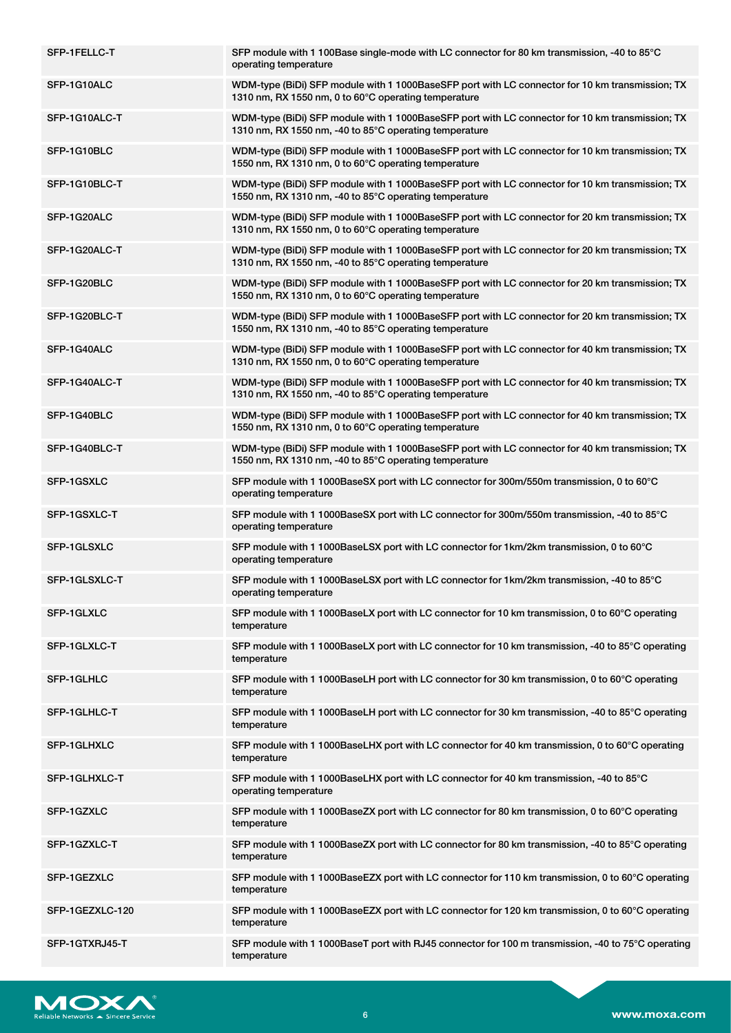| SFP-1FELLC-T    | SFP module with 1 100Base single-mode with LC connector for 80 km transmission, -40 to 85°C<br>operating temperature                                      |
|-----------------|-----------------------------------------------------------------------------------------------------------------------------------------------------------|
| SFP-1G10ALC     | WDM-type (BiDi) SFP module with 1 1000BaseSFP port with LC connector for 10 km transmission; TX<br>1310 nm, RX 1550 nm, 0 to 60°C operating temperature   |
| SFP-1G10ALC-T   | WDM-type (BiDi) SFP module with 1 1000BaseSFP port with LC connector for 10 km transmission; TX<br>1310 nm, RX 1550 nm, -40 to 85°C operating temperature |
| SFP-1G10BLC     | WDM-type (BiDi) SFP module with 1 1000BaseSFP port with LC connector for 10 km transmission; TX<br>1550 nm, RX 1310 nm, 0 to 60°C operating temperature   |
| SFP-1G10BLC-T   | WDM-type (BiDi) SFP module with 1 1000BaseSFP port with LC connector for 10 km transmission; TX<br>1550 nm, RX 1310 nm, -40 to 85°C operating temperature |
| SFP-1G20ALC     | WDM-type (BiDi) SFP module with 1 1000BaseSFP port with LC connector for 20 km transmission; TX<br>1310 nm, RX 1550 nm, 0 to 60°C operating temperature   |
| SFP-1G20ALC-T   | WDM-type (BiDi) SFP module with 1 1000BaseSFP port with LC connector for 20 km transmission; TX<br>1310 nm, RX 1550 nm, -40 to 85°C operating temperature |
| SFP-1G20BLC     | WDM-type (BiDi) SFP module with 1 1000BaseSFP port with LC connector for 20 km transmission; TX<br>1550 nm, RX 1310 nm, 0 to 60°C operating temperature   |
| SFP-1G20BLC-T   | WDM-type (BiDi) SFP module with 1 1000BaseSFP port with LC connector for 20 km transmission; TX<br>1550 nm, RX 1310 nm, -40 to 85°C operating temperature |
| SFP-1G40ALC     | WDM-type (BiDi) SFP module with 1 1000BaseSFP port with LC connector for 40 km transmission; TX<br>1310 nm, RX 1550 nm, 0 to 60°C operating temperature   |
| SFP-1G40ALC-T   | WDM-type (BiDi) SFP module with 1 1000BaseSFP port with LC connector for 40 km transmission; TX<br>1310 nm, RX 1550 nm, -40 to 85°C operating temperature |
| SFP-1G40BLC     | WDM-type (BiDi) SFP module with 1 1000BaseSFP port with LC connector for 40 km transmission; TX<br>1550 nm, RX 1310 nm, 0 to 60°C operating temperature   |
| SFP-1G40BLC-T   | WDM-type (BiDi) SFP module with 1 1000BaseSFP port with LC connector for 40 km transmission; TX<br>1550 nm, RX 1310 nm, -40 to 85°C operating temperature |
| SFP-1GSXLC      | SFP module with 1 1000BaseSX port with LC connector for 300m/550m transmission, 0 to 60°C<br>operating temperature                                        |
| SFP-1GSXLC-T    | SFP module with 1 1000BaseSX port with LC connector for 300m/550m transmission, -40 to 85°C<br>operating temperature                                      |
| SFP-1GLSXLC     | SFP module with 1 1000BaseLSX port with LC connector for 1km/2km transmission, 0 to 60°C<br>operating temperature                                         |
| SFP-1GLSXLC-T   | SFP module with 1 1000BaseLSX port with LC connector for 1km/2km transmission, -40 to 85°C<br>operating temperature                                       |
| SFP-1GLXLC      | SFP module with 1 1000BaseLX port with LC connector for 10 km transmission, 0 to 60°C operating<br>temperature                                            |
| SFP-1GLXLC-T    | SFP module with 1 1000BaseLX port with LC connector for 10 km transmission, -40 to 85°C operating<br>temperature                                          |
| SFP-1GLHLC      | SFP module with 1 1000BaseLH port with LC connector for 30 km transmission, 0 to 60°C operating<br>temperature                                            |
| SFP-1GLHLC-T    | SFP module with 1 1000BaseLH port with LC connector for 30 km transmission, -40 to 85°C operating<br>temperature                                          |
| SFP-1GLHXLC     | SFP module with 1 1000BaseLHX port with LC connector for 40 km transmission, 0 to 60°C operating<br>temperature                                           |
| SFP-1GLHXLC-T   | SFP module with 1 1000BaseLHX port with LC connector for 40 km transmission, -40 to 85°C<br>operating temperature                                         |
| SFP-1GZXLC      | SFP module with 1 1000BaseZX port with LC connector for 80 km transmission, 0 to 60°C operating<br>temperature                                            |
| SFP-1GZXLC-T    | SFP module with 1 1000BaseZX port with LC connector for 80 km transmission, -40 to 85°C operating<br>temperature                                          |
| SFP-1GEZXLC     | SFP module with 1 1000BaseEZX port with LC connector for 110 km transmission, 0 to 60°C operating<br>temperature                                          |
| SFP-1GEZXLC-120 | SFP module with 1 1000BaseEZX port with LC connector for 120 km transmission, 0 to 60°C operating<br>temperature                                          |
| SFP-1GTXRJ45-T  | SFP module with 1 1000BaseT port with RJ45 connector for 100 m transmission, -40 to 75°C operating<br>temperature                                         |